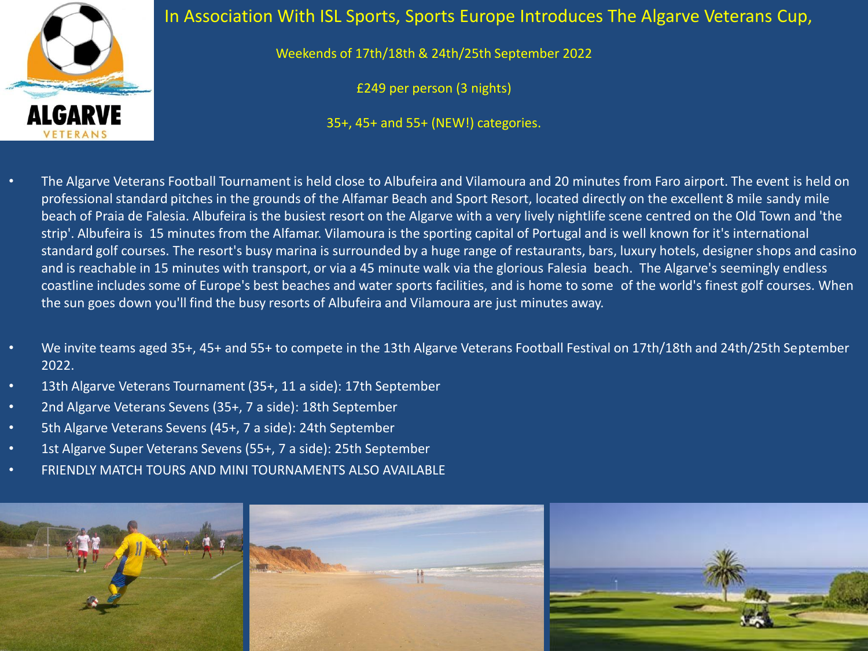

## In Association With ISL Sports, Sports Europe Introduces The Algarve Veterans Cup,

Weekends of 17th/18th & 24th/25th September 2022

£249 per person (3 nights)

35+, 45+ and 55+ (NEW!) categories.

- The Algarve Veterans Football Tournament is held close to Albufeira and Vilamoura and 20 minutes from Faro airport. The event is held on professional standard pitches in the grounds of the Alfamar Beach and Sport Resort, located directly on the excellent 8 mile sandy mile beach of Praia de Falesia. Albufeira is the busiest resort on the Algarve with a very lively nightlife scene centred on the Old Town and 'the strip'. Albufeira is 15 minutes from the Alfamar. Vilamoura is the sporting capital of Portugal and is well known for it's international standard golf courses. The resort's busy marina is surrounded by a huge range of restaurants, bars, luxury hotels, designer shops and casino and is reachable in 15 minutes with transport, or via a 45 minute walk via the glorious Falesia beach. The Algarve's seemingly endless coastline includes some of Europe's best beaches and water sports facilities, and is home to some of the world's finest golf courses. When the sun goes down you'll find the busy resorts of Albufeira and Vilamoura are just minutes away.
- We invite teams aged 35+, 45+ and 55+ to compete in the 13th Algarve Veterans Football Festival on 17th/18th and 24th/25th September 2022.
- 13th Algarve Veterans Tournament (35+, 11 a side): 17th September
- 2nd Algarve Veterans Sevens (35+, 7 a side): 18th September
- 5th Algarve Veterans Sevens (45+, 7 a side): 24th September
- 1st Algarve Super Veterans Sevens (55+, 7 a side): 25th September
- FRIENDLY MATCH TOURS AND MINI TOURNAMENTS ALSO AVAILABLE

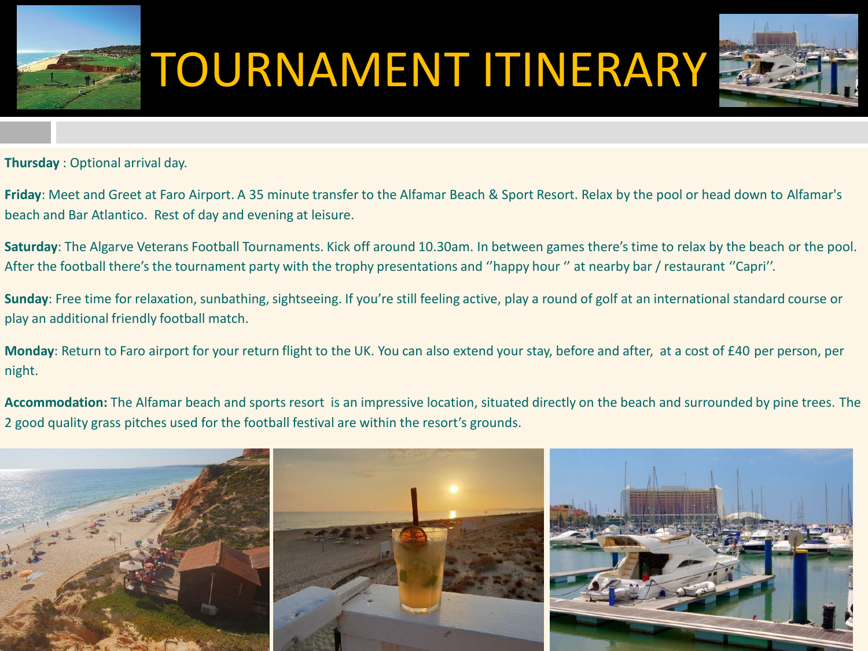

## TOURNAMENT ITINERARY



**Thursday** : Optional arrival day.

**Friday**: Meet and Greet at Faro Airport. A 35 minute transfer to the Alfamar Beach & Sport Resort. Relax by the pool or head down to Alfamar's beach and Bar Atlantico. Rest of day and evening at leisure.

**Saturday**: The Algarve Veterans Football Tournaments. Kick off around 10.30am. In between games there's time to relax by the beach or the pool. After the football there's the tournament party with the trophy presentations and ''happy hour '' at nearby bar / restaurant ''Capri''.

**Sunday**: Free time for relaxation, sunbathing, sightseeing. If you're still feeling active, play a round of golf at an international standard course or play an additional friendly football match.

**Monday**: Return to Faro airport for your return flight to the UK. You can also extend your stay, before and after, at a cost of £40 per person, per night.

**Accommodation:** The Alfamar beach and sports resort is an impressive location, situated directly on the beach and surrounded by pine trees. The 2 good quality grass pitches used for the football festival are within the resort's grounds.